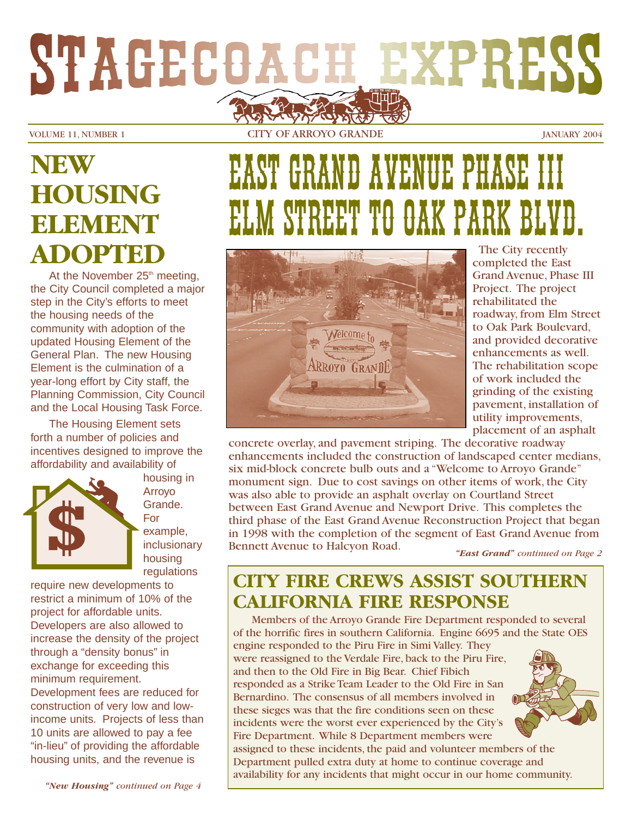# STAGECOACH EXPRESS

VOLUME 11, NUMBER 1 CITY OF ARROYO GRANDE JANUARY 2004

# **NEW HOUSING ELEMENT ADOPTED**

At the November  $25<sup>th</sup>$  meeting, the City Council completed a major step in the City's efforts to meet the housing needs of the community with adoption of the updated Housing Element of the General Plan. The new Housing Element is the culmination of a year-long effort by City staff, the Planning Commission, City Council and the Local Housing Task Force.

The Housing Element sets forth a number of policies and incentives designed to improve the affordability and availability of



housing in Arroyo Grande. For example, inclusionary housing regulations

require new developments to restrict a minimum of 10% of the project for affordable units. Developers are also allowed to increase the density of the project through a "density bonus" in exchange for exceeding this minimum requirement. Development fees are reduced for construction of very low and lowincome units. Projects of less than 10 units are allowed to pay a fee "in-lieu" of providing the affordable housing units, and the revenue is

# GRAND AVENUE PHASE EET TO OAK PARK



The City recently completed the East Grand Avenue, Phase III Project. The project rehabilitated the roadway, from Elm Street to Oak Park Boulevard, and provided decorative enhancements as well. The rehabilitation scope of work included the grinding of the existing pavement, installation of utility improvements, placement of an asphalt

concrete overlay, and pavement striping. The decorative roadway enhancements included the construction of landscaped center medians, six mid-block concrete bulb outs and a "Welcome to Arroyo Grande" monument sign. Due to cost savings on other items of work, the City was also able to provide an asphalt overlay on Courtland Street between East Grand Avenue and Newport Drive. This completes the third phase of the East Grand Avenue Reconstruction Project that began in 1998 with the completion of the segment of East Grand Avenue from Bennett Avenue to Halcyon Road.

*"East Grand" continued on Page 2*

# **CITY FIRE CREWS ASSIST SOUTHERN CALIFORNIA FIRE RESPONSE**

Members of the Arroyo Grande Fire Department responded to several of the horrific fires in southern California. Engine 6695 and the State OES engine responded to the Piru Fire in Simi Valley. They were reassigned to the Verdale Fire, back to the Piru Fire, and then to the Old Fire in Big Bear. Chief Fibich responded as a Strike Team Leader to the Old Fire in San

Bernardino. The consensus of all members involved in these sieges was that the fire conditions seen on these incidents were the worst ever experienced by the City's Fire Department. While 8 Department members were



assigned to these incidents, the paid and volunteer members of the Department pulled extra duty at home to continue coverage and availability for any incidents that might occur in our home community.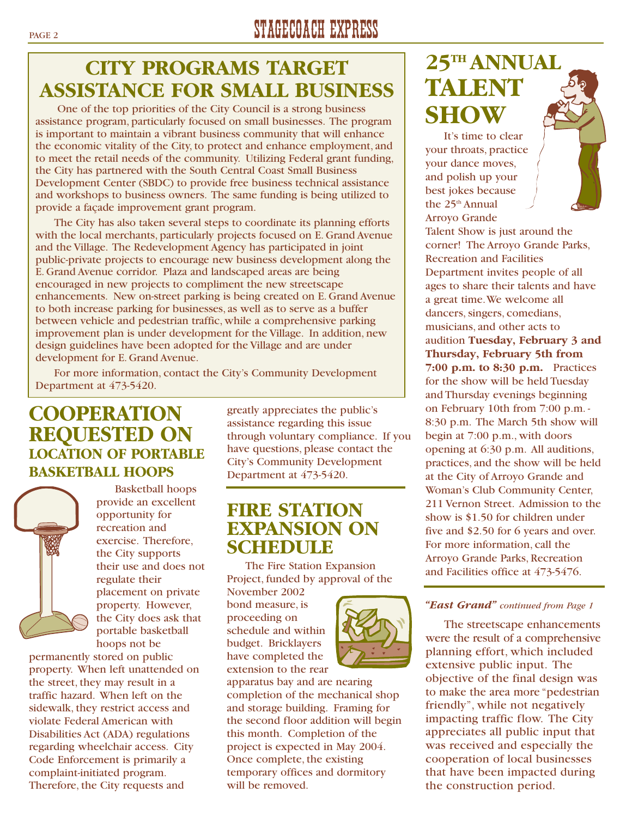# **CITY PROGRAMS TARGET ASSISTANCE FOR SMALL BUSINESS**

One of the top priorities of the City Council is a strong business assistance program, particularly focused on small businesses. The program is important to maintain a vibrant business community that will enhance the economic vitality of the City, to protect and enhance employment, and to meet the retail needs of the community. Utilizing Federal grant funding, the City has partnered with the South Central Coast Small Business Development Center (SBDC) to provide free business technical assistance and workshops to business owners. The same funding is being utilized to provide a façade improvement grant program.

The City has also taken several steps to coordinate its planning efforts with the local merchants, particularly projects focused on E. Grand Avenue and the Village. The Redevelopment Agency has participated in joint public-private projects to encourage new business development along the E. Grand Avenue corridor. Plaza and landscaped areas are being encouraged in new projects to compliment the new streetscape enhancements. New on-street parking is being created on E. Grand Avenue to both increase parking for businesses, as well as to serve as a buffer between vehicle and pedestrian traffic, while a comprehensive parking improvement plan is under development for the Village. In addition, new design guidelines have been adopted for the Village and are under development for E. Grand Avenue.

For more information, contact the City's Community Development Department at 473-5420.

## **COOPERATION REQUESTED ON LOCATION OF PORTABLE BASKETBALL HOOPS**



Basketball hoops provide an excellent opportunity for recreation and exercise. Therefore, the City supports their use and does not regulate their placement on private property. However, the City does ask that portable basketball hoops not be

permanently stored on public property. When left unattended on the street, they may result in a traffic hazard. When left on the sidewalk, they restrict access and violate Federal American with Disabilities Act (ADA) regulations regarding wheelchair access. City Code Enforcement is primarily a complaint-initiated program. Therefore, the City requests and

greatly appreciates the public's assistance regarding this issue through voluntary compliance. If you have questions, please contact the City's Community Development Department at 473-5420.

### **FIRE STATION EXPANSION ON SCHEDULE**

The Fire Station Expansion Project, funded by approval of the

November 2002 bond measure, is proceeding on schedule and within budget. Bricklayers have completed the extension to the rear



# **25TH ANNUAL TALENT SHOW**

It's time to clear your throats, practice your dance moves, and polish up your best jokes because the 25<sup>th</sup> Annual Arroyo Grande

Talent Show is just around the corner! The Arroyo Grande Parks, Recreation and Facilities Department invites people of all ages to share their talents and have a great time.We welcome all dancers, singers, comedians, musicians, and other acts to audition **Tuesday, February 3 and Thursday, February 5th from 7:00 p.m. to 8:30 p.m.** Practices for the show will be held Tuesday and Thursday evenings beginning on February 10th from 7:00 p.m. - 8:30 p.m. The March 5th show will begin at 7:00 p.m., with doors opening at 6:30 p.m. All auditions, practices, and the show will be held at the City of Arroyo Grande and Woman's Club Community Center, 211 Vernon Street. Admission to the show is \$1.50 for children under five and \$2.50 for 6 years and over. For more information, call the Arroyo Grande Parks, Recreation and Facilities office at 473-5476.

#### *"East Grand" continued from Page 1*

The streetscape enhancements were the result of a comprehensive planning effort, which included extensive public input. The objective of the final design was to make the area more "pedestrian friendly", while not negatively impacting traffic flow. The City appreciates all public input that was received and especially the cooperation of local businesses that have been impacted during the construction period.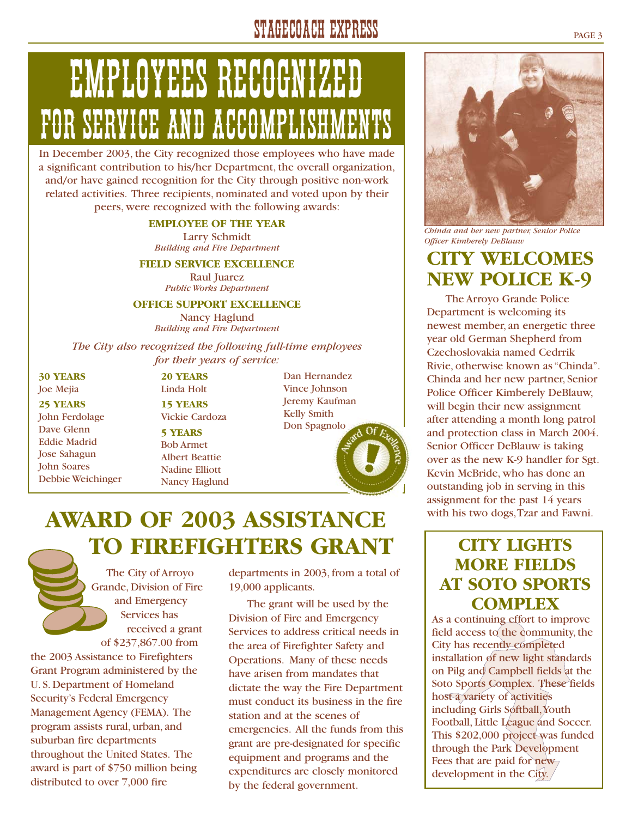# STAGECOACH EXPRESS PAGE 3

# EMPLOYEES RECOGNIZED FOR SERVICE AND ACCOMPLISHM

In December 2003, the City recognized those employees who have made a significant contribution to his/her Department, the overall organization, and/or have gained recognition for the City through positive non-work related activities. Three recipients, nominated and voted upon by their peers, were recognized with the following awards:

#### **EMPLOYEE OF THE YEAR**

Larry Schmidt *Building and Fire Department*

#### **FIELD SERVICE EXCELLENCE**

Raul Juarez *Public Works Department*

#### **OFFICE SUPPORT EXCELLENCE**

Nancy Haglund *Building and Fire Department*

*The City also recognized the following full-time employees for their years of service:*

**30 YEARS** Joe Mejia

**25 YEARS** John Ferdolage Dave Glenn Eddie Madrid Jose Sahagun John Soares Debbie Weichinger Linda Holt **15 YEARS** Vickie Cardoza **5 YEARS** Bob Armet Albert Beattie Nadine Elliott Nancy Haglund

**20 YEARS**

Dan Hernandez Vince Johnson Jeremy Kaufman Kelly Smith Don Spagnolo

# **AWARD OF 2003 ASSISTANCE TO FIREFIGHTERS GRANT**

The City of Arroyo Grande, Division of Fire and Emergency Services has received a grant of \$237,867.00 from

the 2003 Assistance to Firefighters Grant Program administered by the U. S. Department of Homeland Security's Federal Emergency Management Agency (FEMA). The program assists rural, urban, and suburban fire departments throughout the United States. The award is part of \$750 million being distributed to over 7,000 fire

departments in 2003, from a total of 19,000 applicants.

The grant will be used by the Division of Fire and Emergency Services to address critical needs in the area of Firefighter Safety and Operations. Many of these needs have arisen from mandates that dictate the way the Fire Department must conduct its business in the fire station and at the scenes of emergencies. All the funds from this grant are pre-designated for specific equipment and programs and the expenditures are closely monitored by the federal government.



*Chinda and her new partner, Senior Police Officer Kimberely DeBlauw*

# **CITY WELCOMES NEW POLICE K-9**

The Arroyo Grande Police Department is welcoming its newest member, an energetic three year old German Shepherd from Czechoslovakia named Cedrrik Rivie, otherwise known as "Chinda". Chinda and her new partner, Senior Police Officer Kimberely DeBlauw, will begin their new assignment after attending a month long patrol and protection class in March 2004. Senior Officer DeBlauw is taking over as the new K-9 handler for Sgt. Kevin McBride, who has done an outstanding job in serving in this assignment for the past 14 years with his two dogs,Tzar and Fawni.

### **CITY LIGHTS MORE FIELDS AT SOTO SPORTS COMPLEX**

As a continuing effort to improve field access to the community, the City has recently completed installation of new light standards on Pilg and Campbell fields at the Soto Sports Complex. These fields host a variety of activities including Girls Softball, Youth Football, Little League and Soccer. This \$202,000 project was funded through the Park Development Fees that are paid for new development in the City.